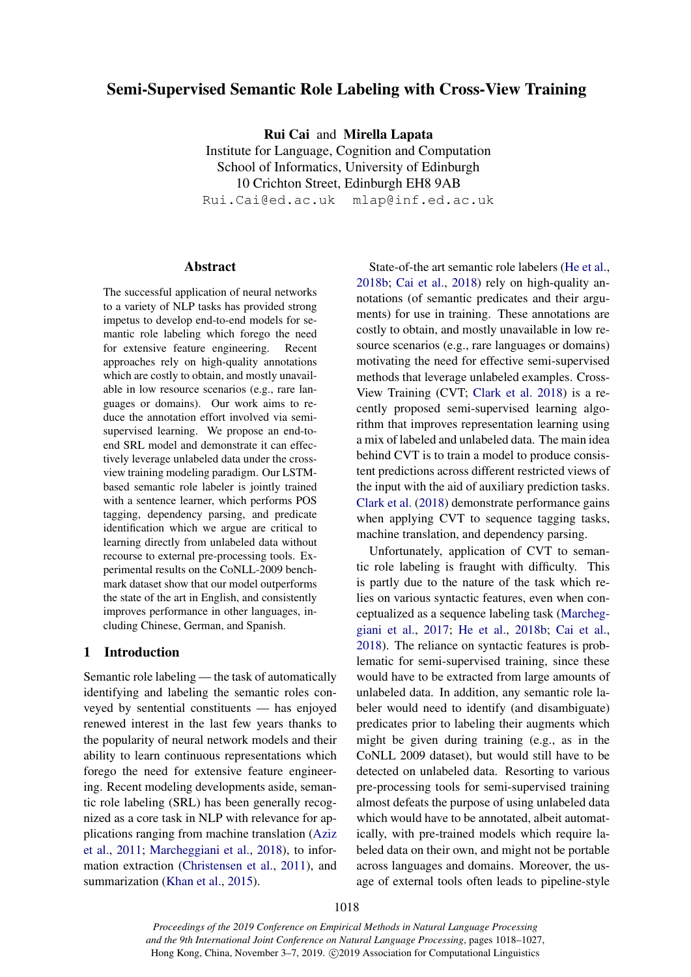# Semi-Supervised Semantic Role Labeling with Cross-View Training

Rui Cai and Mirella Lapata

Institute for Language, Cognition and Computation School of Informatics, University of Edinburgh 10 Crichton Street, Edinburgh EH8 9AB Rui.Cai@ed.ac.uk mlap@inf.ed.ac.uk

## Abstract

The successful application of neural networks to a variety of NLP tasks has provided strong impetus to develop end-to-end models for semantic role labeling which forego the need for extensive feature engineering. Recent approaches rely on high-quality annotations which are costly to obtain, and mostly unavailable in low resource scenarios (e.g., rare languages or domains). Our work aims to reduce the annotation effort involved via semisupervised learning. We propose an end-toend SRL model and demonstrate it can effectively leverage unlabeled data under the crossview training modeling paradigm. Our LSTMbased semantic role labeler is jointly trained with a sentence learner, which performs POS tagging, dependency parsing, and predicate identification which we argue are critical to learning directly from unlabeled data without recourse to external pre-processing tools. Experimental results on the CoNLL-2009 benchmark dataset show that our model outperforms the state of the art in English, and consistently improves performance in other languages, including Chinese, German, and Spanish.

## 1 Introduction

Semantic role labeling — the task of automatically identifying and labeling the semantic roles conveyed by sentential constituents — has enjoyed renewed interest in the last few years thanks to the popularity of neural network models and their ability to learn continuous representations which forego the need for extensive feature engineering. Recent modeling developments aside, semantic role labeling (SRL) has been generally recognized as a core task in NLP with relevance for applications ranging from machine translation [\(Aziz](#page-8-0) [et al.,](#page-8-0) [2011;](#page-8-0) [Marcheggiani et al.,](#page-9-0) [2018\)](#page-9-0), to information extraction [\(Christensen et al.,](#page-8-1) [2011\)](#page-8-1), and summarization [\(Khan et al.,](#page-9-1) [2015\)](#page-9-1).

State-of-the art semantic role labelers [\(He et al.,](#page-8-2) [2018b;](#page-8-2) [Cai et al.,](#page-8-3) [2018\)](#page-8-3) rely on high-quality annotations (of semantic predicates and their arguments) for use in training. These annotations are costly to obtain, and mostly unavailable in low resource scenarios (e.g., rare languages or domains) motivating the need for effective semi-supervised methods that leverage unlabeled examples. Cross-View Training (CVT; [Clark et al.](#page-8-4) [2018\)](#page-8-4) is a recently proposed semi-supervised learning algorithm that improves representation learning using a mix of labeled and unlabeled data. The main idea behind CVT is to train a model to produce consistent predictions across different restricted views of the input with the aid of auxiliary prediction tasks. [Clark et al.](#page-8-4) [\(2018\)](#page-8-4) demonstrate performance gains when applying CVT to sequence tagging tasks, machine translation, and dependency parsing.

Unfortunately, application of CVT to semantic role labeling is fraught with difficulty. This is partly due to the nature of the task which relies on various syntactic features, even when conceptualized as a sequence labeling task [\(Marcheg](#page-9-2)[giani et al.,](#page-9-2) [2017;](#page-9-2) [He et al.,](#page-8-2) [2018b;](#page-8-2) [Cai et al.,](#page-8-3) [2018\)](#page-8-3). The reliance on syntactic features is problematic for semi-supervised training, since these would have to be extracted from large amounts of unlabeled data. In addition, any semantic role labeler would need to identify (and disambiguate) predicates prior to labeling their augments which might be given during training (e.g., as in the CoNLL 2009 dataset), but would still have to be detected on unlabeled data. Resorting to various pre-processing tools for semi-supervised training almost defeats the purpose of using unlabeled data which would have to be annotated, albeit automatically, with pre-trained models which require labeled data on their own, and might not be portable across languages and domains. Moreover, the usage of external tools often leads to pipeline-style

*Proceedings of the 2019 Conference on Empirical Methods in Natural Language Processing and the 9th International Joint Conference on Natural Language Processing*, pages 1018–1027, Hong Kong, China, November 3–7, 2019. ©2019 Association for Computational Linguistics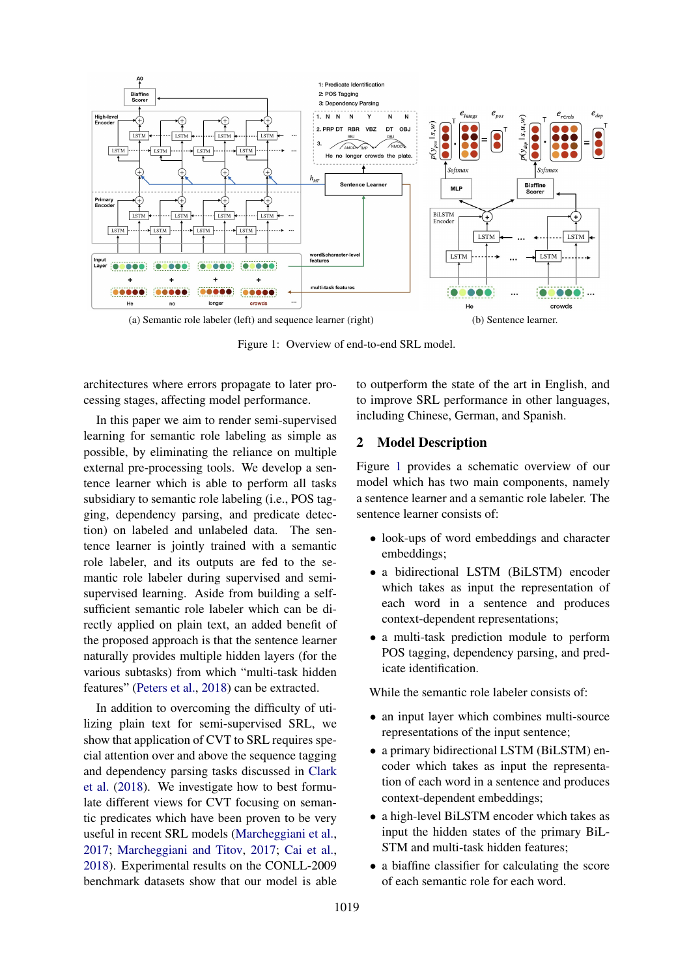<span id="page-1-0"></span>

Figure 1: Overview of end-to-end SRL model.

architectures where errors propagate to later processing stages, affecting model performance.

In this paper we aim to render semi-supervised learning for semantic role labeling as simple as possible, by eliminating the reliance on multiple external pre-processing tools. We develop a sentence learner which is able to perform all tasks subsidiary to semantic role labeling (i.e., POS tagging, dependency parsing, and predicate detection) on labeled and unlabeled data. The sentence learner is jointly trained with a semantic role labeler, and its outputs are fed to the semantic role labeler during supervised and semisupervised learning. Aside from building a selfsufficient semantic role labeler which can be directly applied on plain text, an added benefit of the proposed approach is that the sentence learner naturally provides multiple hidden layers (for the various subtasks) from which "multi-task hidden features" [\(Peters et al.,](#page-9-3) [2018\)](#page-9-3) can be extracted.

In addition to overcoming the difficulty of utilizing plain text for semi-supervised SRL, we show that application of CVT to SRL requires special attention over and above the sequence tagging and dependency parsing tasks discussed in [Clark](#page-8-4) [et al.](#page-8-4) [\(2018\)](#page-8-4). We investigate how to best formulate different views for CVT focusing on semantic predicates which have been proven to be very useful in recent SRL models [\(Marcheggiani et al.,](#page-9-2) [2017;](#page-9-2) [Marcheggiani and Titov,](#page-9-4) [2017;](#page-9-4) [Cai et al.,](#page-8-3) [2018\)](#page-8-3). Experimental results on the CONLL-2009 benchmark datasets show that our model is able <span id="page-1-1"></span>to outperform the state of the art in English, and to improve SRL performance in other languages, including Chinese, German, and Spanish.

## 2 Model Description

Figure [1](#page-1-0) provides a schematic overview of our model which has two main components, namely a sentence learner and a semantic role labeler. The sentence learner consists of:

- look-ups of word embeddings and character embeddings;
- a bidirectional LSTM (BiLSTM) encoder which takes as input the representation of each word in a sentence and produces context-dependent representations;
- a multi-task prediction module to perform POS tagging, dependency parsing, and predicate identification.

While the semantic role labeler consists of:

- an input layer which combines multi-source representations of the input sentence;
- a primary bidirectional LSTM (BiLSTM) encoder which takes as input the representation of each word in a sentence and produces context-dependent embeddings;
- a high-level BiLSTM encoder which takes as input the hidden states of the primary BiL-STM and multi-task hidden features;
- a biaffine classifier for calculating the score of each semantic role for each word.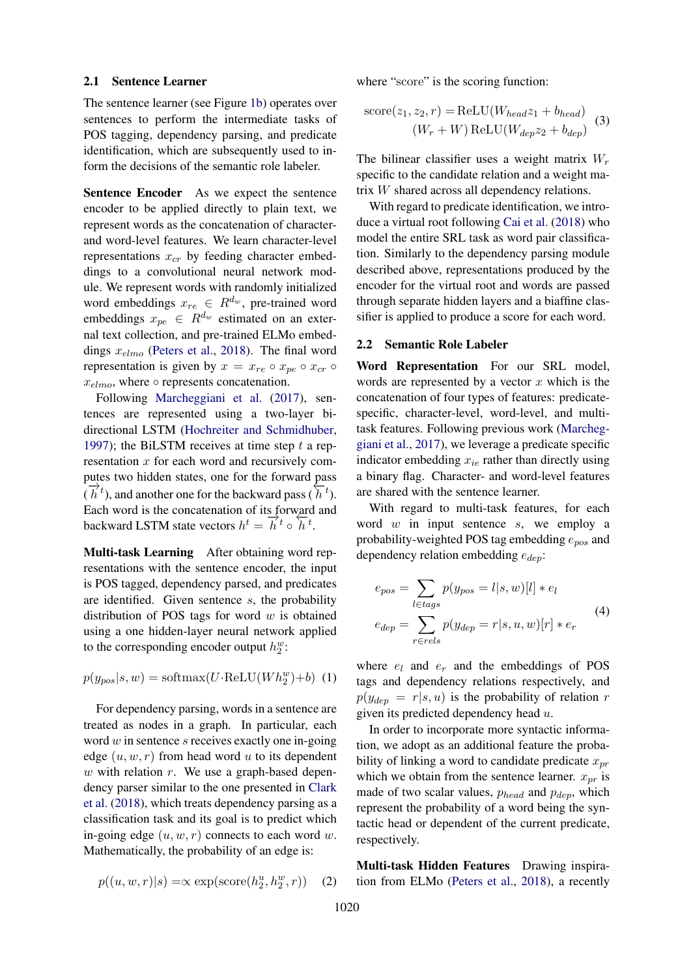#### 2.1 Sentence Learner

The sentence learner (see Figure [1b\)](#page-1-1) operates over sentences to perform the intermediate tasks of POS tagging, dependency parsing, and predicate identification, which are subsequently used to inform the decisions of the semantic role labeler.

Sentence Encoder As we expect the sentence encoder to be applied directly to plain text, we represent words as the concatenation of characterand word-level features. We learn character-level representations  $x_{cr}$  by feeding character embeddings to a convolutional neural network module. We represent words with randomly initialized word embeddings  $x_{re} \in R^{d_w}$ , pre-trained word embeddings  $x_{pe} \in \mathbb{R}^{d_w}$  estimated on an external text collection, and pre-trained ELMo embeddings  $x_{elmo}$  [\(Peters et al.,](#page-9-3) [2018\)](#page-9-3). The final word representation is given by  $x = x_{re} \circ x_{pe} \circ x_{cr} \circ$  $x_{elmo}$ , where  $\circ$  represents concatenation.

Following [Marcheggiani et al.](#page-9-2) [\(2017\)](#page-9-2), sentences are represented using a two-layer bidirectional LSTM [\(Hochreiter and Schmidhuber,](#page-9-5) [1997\)](#page-9-5); the BiLSTM receives at time step  $t$  a representation  $x$  for each word and recursively computes two hidden states, one for the forward pass  $(\vec{h}^t)$ , and another one for the backward pass  $(\vec{h}^t)$ . Each word is the concatenation of its forward and backward LSTM state vectors  $h^t = \overrightarrow{h}^t \circ \overleftarrow{h}^t$ .

Multi-task Learning After obtaining word representations with the sentence encoder, the input is POS tagged, dependency parsed, and predicates are identified. Given sentence s, the probability distribution of POS tags for word  $w$  is obtained using a one hidden-layer neural network applied to the corresponding encoder output  $h_2^w$ :

 $p(y_{pos}|s, w) = \text{softmax}(U \cdot \text{ReLU}(Wh_2^w) + b)$  (1)

For dependency parsing, words in a sentence are treated as nodes in a graph. In particular, each word  $w$  in sentence  $s$  receives exactly one in-going edge  $(u, w, r)$  from head word u to its dependent w with relation  $r$ . We use a graph-based dependency parser similar to the one presented in [Clark](#page-8-4) [et al.](#page-8-4) [\(2018\)](#page-8-4), which treats dependency parsing as a classification task and its goal is to predict which in-going edge  $(u, w, r)$  connects to each word w. Mathematically, the probability of an edge is:

where "score" is the scoring function:

score
$$
(z_1, z_2, r)
$$
 = ReLU $(W_{head}z_1 + b_{head})$   
 $(W_r + W) ReLU(W_{dep}z_2 + b_{dep})$  (3)

The bilinear classifier uses a weight matrix  $W_r$ specific to the candidate relation and a weight matrix W shared across all dependency relations.

With regard to predicate identification, we introduce a virtual root following [Cai et al.](#page-8-3) [\(2018\)](#page-8-3) who model the entire SRL task as word pair classification. Similarly to the dependency parsing module described above, representations produced by the encoder for the virtual root and words are passed through separate hidden layers and a biaffine classifier is applied to produce a score for each word.

#### 2.2 Semantic Role Labeler

Word Representation For our SRL model, words are represented by a vector  $x$  which is the concatenation of four types of features: predicatespecific, character-level, word-level, and multitask features. Following previous work [\(Marcheg](#page-9-2)[giani et al.,](#page-9-2) [2017\)](#page-9-2), we leverage a predicate specific indicator embedding  $x_{ie}$  rather than directly using a binary flag. Character- and word-level features are shared with the sentence learner.

With regard to multi-task features, for each word  $w$  in input sentence  $s$ , we employ a probability-weighted POS tag embedding  $e_{pos}$  and dependency relation embedding  $e_{dep}$ :

$$
e_{pos} = \sum_{l \in tags} p(y_{pos} = l|s, w)[l] * e_l
$$
  
\n
$$
e_{dep} = \sum_{r \in rels} p(y_{dep} = r|s, u, w)[r] * e_r
$$
\n(4)

where  $e_l$  and  $e_r$  and the embeddings of POS tags and dependency relations respectively, and  $p(y_{dep} = r | s, u)$  is the probability of relation r given its predicted dependency head  $u$ .

In order to incorporate more syntactic information, we adopt as an additional feature the probability of linking a word to candidate predicate  $x_{pr}$ which we obtain from the sentence learner.  $x_{pr}$  is made of two scalar values,  $p_{head}$  and  $p_{dep}$ , which represent the probability of a word being the syntactic head or dependent of the current predicate, respectively.

$$
p((u, w, r)|s) = \propto \exp(\text{score}(h_2^u, h_2^w, r)) \quad (2)
$$

Multi-task Hidden Features Drawing inspiration from ELMo [\(Peters et al.,](#page-9-3) [2018\)](#page-9-3), a recently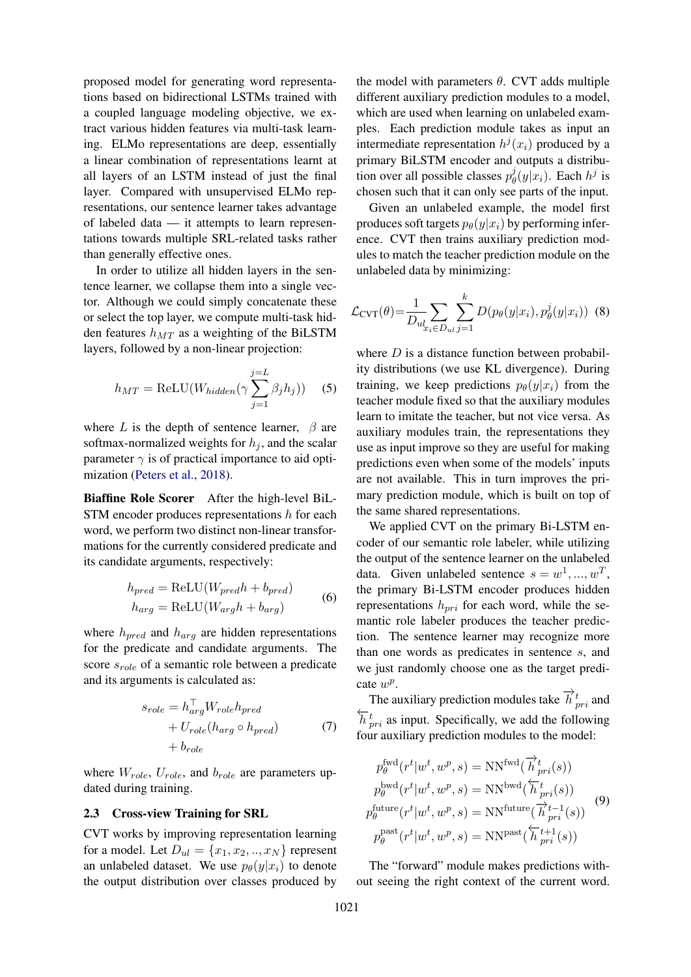proposed model for generating word representations based on bidirectional LSTMs trained with a coupled language modeling objective, we extract various hidden features via multi-task learning. ELMo representations are deep, essentially a linear combination of representations learnt at all layers of an LSTM instead of just the final layer. Compared with unsupervised ELMo representations, our sentence learner takes advantage of labeled data — it attempts to learn representations towards multiple SRL-related tasks rather than generally effective ones.

In order to utilize all hidden layers in the sentence learner, we collapse them into a single vector. Although we could simply concatenate these or select the top layer, we compute multi-task hidden features  $h_{MT}$  as a weighting of the BiLSTM layers, followed by a non-linear projection:

$$
h_{MT} = \text{ReLU}(W_{hidden}(\gamma \sum_{j=1}^{j=L} \beta_j h_j))
$$
 (5)

where L is the depth of sentence learner,  $\beta$  are softmax-normalized weights for  $h_i$ , and the scalar parameter  $\gamma$  is of practical importance to aid optimization [\(Peters et al.,](#page-9-3) [2018\)](#page-9-3).

Biaffine Role Scorer After the high-level BiL-STM encoder produces representations h for each word, we perform two distinct non-linear transformations for the currently considered predicate and its candidate arguments, respectively:

$$
h_{pred} = \text{ReLU}(W_{pred}h + b_{pred})
$$
  
\n
$$
h_{arg} = \text{ReLU}(W_{arg}h + b_{arg})
$$
 (6)

where  $h_{pred}$  and  $h_{arg}$  are hidden representations for the predicate and candidate arguments. The score  $s_{role}$  of a semantic role between a predicate and its arguments is calculated as:

$$
s_{role} = h_{arg}^{\top} W_{role} h_{pred}
$$
  
+  $U_{role} (h_{arg} \circ h_{pred})$  (7)  
+  $b_{role}$ 

where  $W_{role}$ ,  $U_{role}$ , and  $b_{role}$  are parameters updated during training.

### 2.3 Cross-view Training for SRL

CVT works by improving representation learning for a model. Let  $D_{ul} = \{x_1, x_2, \ldots, x_N\}$  represent an unlabeled dataset. We use  $p_{\theta}(y|x_i)$  to denote the output distribution over classes produced by

the model with parameters  $\theta$ . CVT adds multiple different auxiliary prediction modules to a model, which are used when learning on unlabeled examples. Each prediction module takes as input an intermediate representation  $h^j(x_i)$  produced by a primary BiLSTM encoder and outputs a distribution over all possible classes  $p_{\theta}^{j}$  $\phi_{\theta}(y|x_i)$ . Each  $h^j$  is chosen such that it can only see parts of the input.

Given an unlabeled example, the model first produces soft targets  $p_{\theta}(y|x_i)$  by performing inference. CVT then trains auxiliary prediction modules to match the teacher prediction module on the unlabeled data by minimizing:

<span id="page-3-0"></span>
$$
\mathcal{L}_{\text{CVT}}(\theta) = \frac{1}{D_{ul_{x_i} \in D_{ul}} \sum_{j=1}^{k} D(p_{\theta}(y|x_i), p_{\theta}^j(y|x_i))
$$
(8)

where  $D$  is a distance function between probability distributions (we use KL divergence). During training, we keep predictions  $p_{\theta}(y|x_i)$  from the teacher module fixed so that the auxiliary modules learn to imitate the teacher, but not vice versa. As auxiliary modules train, the representations they use as input improve so they are useful for making predictions even when some of the models' inputs are not available. This in turn improves the primary prediction module, which is built on top of the same shared representations.

We applied CVT on the primary Bi-LSTM encoder of our semantic role labeler, while utilizing the output of the sentence learner on the unlabeled data. Given unlabeled sentence  $s = w^1, ..., w^T$ , the primary Bi-LSTM encoder produces hidden representations  $h_{pri}$  for each word, while the semantic role labeler produces the teacher prediction. The sentence learner may recognize more than one words as predicates in sentence s, and we just randomly choose one as the target predicate  $w^p$ .

The auxiliary prediction modules take  $\overrightarrow{h}_{pri}^t$  and  $\overleftarrow{h}_{pri}^t$  as input. Specifically, we add the following four auxiliary prediction modules to the model:

$$
p_{\theta}^{\text{fwd}}(r^t|w^t, w^p, s) = \text{NN}^{\text{fwd}}(\overrightarrow{h}_{pri}^t(s))
$$
  
\n
$$
p_{\theta}^{\text{bwd}}(r^t|w^t, w^p, s) = \text{NN}^{\text{bwd}}(\overleftarrow{h}_{pri}^t(s))
$$
  
\n
$$
p_{\theta}^{\text{future}}(r^t|w^t, w^p, s) = \text{NN}^{\text{future}}(\overrightarrow{h}_{pri}^{t-1}(s))
$$
  
\n
$$
p_{\theta}^{\text{past}}(r^t|w^t, w^p, s) = \text{NN}^{\text{past}}(\overleftarrow{h}_{pri}^{t+1}(s))
$$
 (9)

The "forward" module makes predictions without seeing the right context of the current word.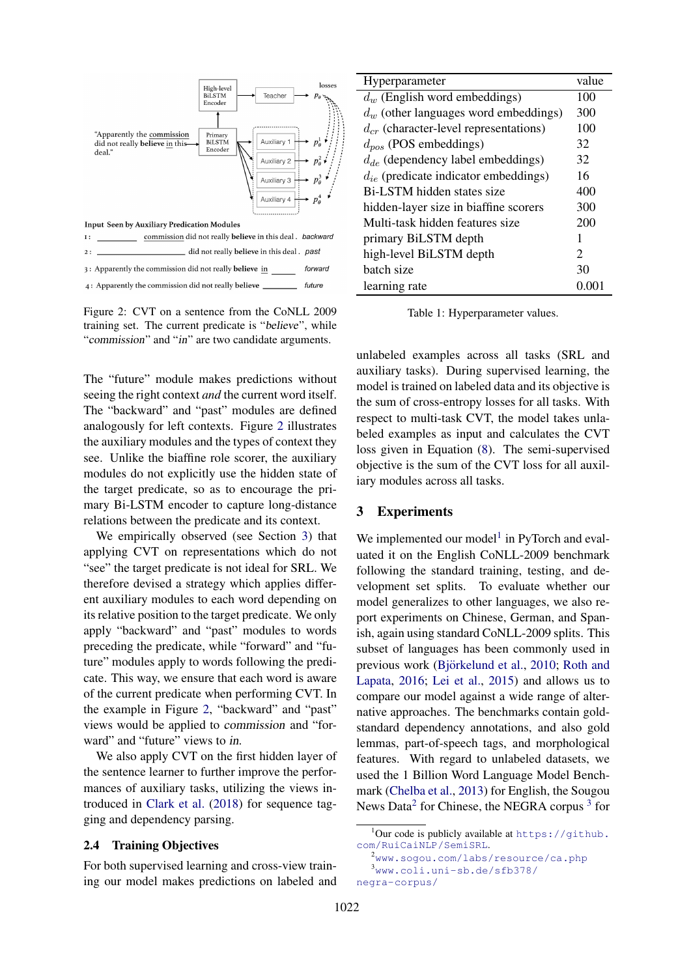<span id="page-4-0"></span>

Figure 2: CVT on a sentence from the CoNLL 2009 training set. The current predicate is "believe", while "commission" and "in" are two candidate arguments.

The "future" module makes predictions without seeing the right context *and* the current word itself. The "backward" and "past" modules are defined analogously for left contexts. Figure [2](#page-4-0) illustrates the auxiliary modules and the types of context they see. Unlike the biaffine role scorer, the auxiliary modules do not explicitly use the hidden state of the target predicate, so as to encourage the primary Bi-LSTM encoder to capture long-distance relations between the predicate and its context.

We empirically observed (see Section [3\)](#page-4-1) that applying CVT on representations which do not "see" the target predicate is not ideal for SRL. We therefore devised a strategy which applies different auxiliary modules to each word depending on its relative position to the target predicate. We only apply "backward" and "past" modules to words preceding the predicate, while "forward" and "future" modules apply to words following the predicate. This way, we ensure that each word is aware of the current predicate when performing CVT. In the example in Figure [2,](#page-4-0) "backward" and "past" views would be applied to commission and "forward" and "future" views to in.

We also apply CVT on the first hidden layer of the sentence learner to further improve the performances of auxiliary tasks, utilizing the views introduced in [Clark et al.](#page-8-4) [\(2018\)](#page-8-4) for sequence tagging and dependency parsing.

### 2.4 Training Objectives

For both supervised learning and cross-view training our model makes predictions on labeled and

<span id="page-4-5"></span>

| Hyperparameter                             | value  |
|--------------------------------------------|--------|
| $d_w$ (English word embeddings)            | 100    |
| $d_w$ (other languages word embeddings)    | 300    |
| $d_{cr}$ (character-level representations) | 100    |
| $d_{pos}$ (POS embeddings)                 | 32     |
| $d_{de}$ (dependency label embeddings)     | 32     |
| $d_{ie}$ (predicate indicator embeddings)  | 16     |
| Bi-LSTM hidden states size                 | 400    |
| hidden-layer size in biaffine scorers      | 300    |
| Multi-task hidden features size            | 200    |
| primary BiLSTM depth                       | 1      |
| high-level BiLSTM depth                    | 2      |
| batch size                                 | 30     |
| learning rate                              | (1)(1) |

Table 1: Hyperparameter values.

unlabeled examples across all tasks (SRL and auxiliary tasks). During supervised learning, the model is trained on labeled data and its objective is the sum of cross-entropy losses for all tasks. With respect to multi-task CVT, the model takes unlabeled examples as input and calculates the CVT loss given in Equation [\(8\)](#page-3-0). The semi-supervised objective is the sum of the CVT loss for all auxiliary modules across all tasks.

## <span id="page-4-1"></span>3 Experiments

We implemented our model<sup>[1](#page-4-2)</sup> in PyTorch and evaluated it on the English CoNLL-2009 benchmark following the standard training, testing, and development set splits. To evaluate whether our model generalizes to other languages, we also report experiments on Chinese, German, and Spanish, again using standard CoNLL-2009 splits. This subset of languages has been commonly used in previous work (Björkelund et al., [2010;](#page-8-5) [Roth and](#page-9-6) [Lapata,](#page-9-6) [2016;](#page-9-6) [Lei et al.,](#page-9-7) [2015\)](#page-9-7) and allows us to compare our model against a wide range of alternative approaches. The benchmarks contain goldstandard dependency annotations, and also gold lemmas, part-of-speech tags, and morphological features. With regard to unlabeled datasets, we used the 1 Billion Word Language Model Benchmark [\(Chelba et al.,](#page-8-6) [2013\)](#page-8-6) for English, the Sougou News Data<sup>[2](#page-4-3)</sup> for Chinese, the NEGRA corpus<sup>[3](#page-4-4)</sup> for

<span id="page-4-2"></span> $^1$ Our code is publicly available at <code>[https://github.](https://github.com/RuiCaiNLP/SemiSRL)</code> [com/RuiCaiNLP/SemiSRL](https://github.com/RuiCaiNLP/SemiSRL).

<span id="page-4-4"></span><span id="page-4-3"></span><sup>2</sup><www.sogou.com/labs/resource/ca.php> <sup>3</sup>[www.coli.uni-sb.de/sfb378/](www.coli.uni-sb.de/sfb378/negra-corpus/) [negra-corpus/](www.coli.uni-sb.de/sfb378/negra-corpus/)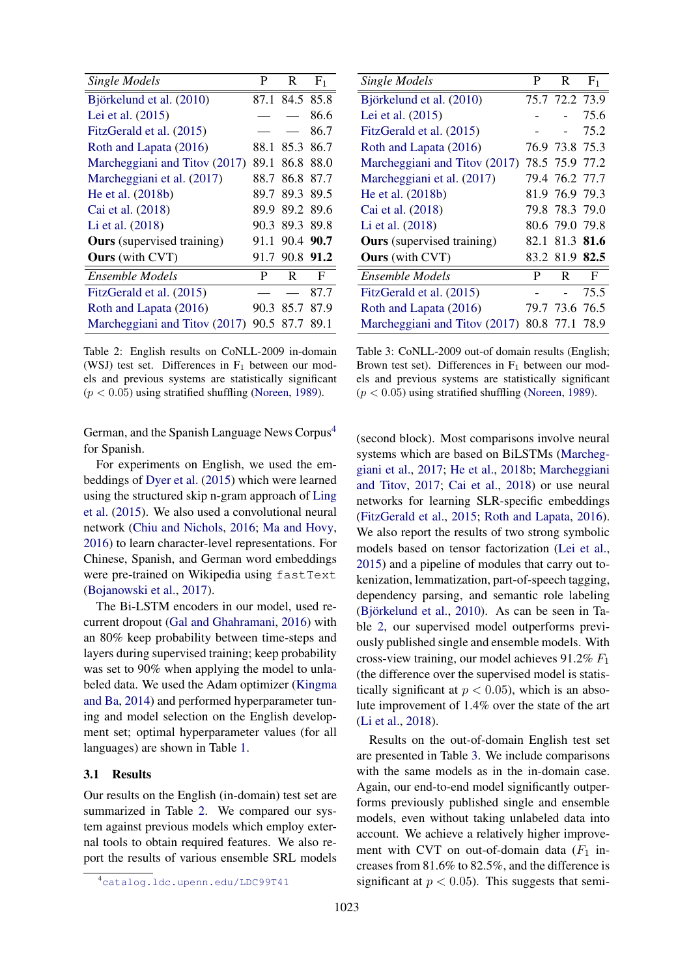<span id="page-5-1"></span>

| <b>Single Models</b>              | P    | R              | F <sub>1</sub> |
|-----------------------------------|------|----------------|----------------|
| Björkelund et al. (2010)          |      | 87.1 84.5 85.8 |                |
| Lei et al. (2015)                 |      |                | 86.6           |
| FitzGerald et al. (2015)          |      |                | 86.7           |
| Roth and Lapata (2016)            | 88.1 | 85.3 86.7      |                |
| Marcheggiani and Titov (2017)     | 89.1 |                | 86.8 88.0      |
| Marcheggiani et al. (2017)        | 88.7 | 86.8 87.7      |                |
| He et al. (2018b)                 | 89.7 | 89.3 89.5      |                |
| Cai et al. (2018)                 | 89.9 |                | 89.2 89.6      |
| Li et al. (2018)                  |      | 90.3 89.3 89.8 |                |
| <b>Ours</b> (supervised training) | 91.1 | 90.4 90.7      |                |
| <b>Ours</b> (with CVT)            |      | 91.7 90.8 91.2 |                |
| Ensemble Models                   | P    | R.             | F              |
| FitzGerald et al. (2015)          |      |                | 87.7           |
| Roth and Lapata (2016)            | 90.3 |                | 85.7 87.9      |
| Marcheggiani and Titov (2017)     |      | 90.5 87.7      | 89.1           |

Table 2: English results on CoNLL-2009 in-domain (WSJ) test set. Differences in  $F_1$  between our models and previous systems are statistically significant  $(p < 0.05)$  using stratified shuffling [\(Noreen,](#page-9-9) [1989\)](#page-9-9).

German, and the Spanish Language News Corpus<sup>[4](#page-5-0)</sup> for Spanish.

For experiments on English, we used the embeddings of [Dyer et al.](#page-8-8) [\(2015\)](#page-8-8) which were learned using the structured skip n-gram approach of [Ling](#page-9-10) [et al.](#page-9-10) [\(2015\)](#page-9-10). We also used a convolutional neural network [\(Chiu and Nichols,](#page-8-9) [2016;](#page-8-9) [Ma and Hovy,](#page-9-11) [2016\)](#page-9-11) to learn character-level representations. For Chinese, Spanish, and German word embeddings were pre-trained on Wikipedia using fastText [\(Bojanowski et al.,](#page-8-10) [2017\)](#page-8-10).

The Bi-LSTM encoders in our model, used recurrent dropout [\(Gal and Ghahramani,](#page-8-11) [2016\)](#page-8-11) with an 80% keep probability between time-steps and layers during supervised training; keep probability was set to 90% when applying the model to unlabeled data. We used the Adam optimizer [\(Kingma](#page-9-12) [and Ba,](#page-9-12) [2014\)](#page-9-12) and performed hyperparameter tuning and model selection on the English development set; optimal hyperparameter values (for all languages) are shown in Table [1.](#page-4-5)

### 3.1 Results

Our results on the English (in-domain) test set are summarized in Table [2.](#page-5-1) We compared our system against previous models which employ external tools to obtain required features. We also report the results of various ensemble SRL models

<span id="page-5-2"></span>

| <b>Single Models</b>              | P | R              | F <sub>1</sub> |
|-----------------------------------|---|----------------|----------------|
| Björkelund et al. (2010)          |   | 75.7 72.2 73.9 |                |
| Lei et al. (2015)                 |   |                | 75.6           |
| FitzGerald et al. (2015)          |   |                | 75.2           |
| Roth and Lapata (2016)            |   | 76.9 73.8 75.3 |                |
| Marcheggiani and Titov (2017)     |   | 78.5 75.9 77.2 |                |
| Marcheggiani et al. (2017)        |   | 79.4 76.2 77.7 |                |
| He et al. (2018b)                 |   | 81.9 76.9 79.3 |                |
| Cai et al. (2018)                 |   | 79.8 78.3 79.0 |                |
| Li et al. (2018)                  |   | 80.6 79.0 79.8 |                |
| <b>Ours</b> (supervised training) |   | 82.1 81.3 81.6 |                |
| <b>Ours</b> (with CVT)            |   | 83.2 81.9 82.5 |                |
| <b>Ensemble Models</b>            | P | R              | F              |
| FitzGerald et al. (2015)          |   |                | 75.5           |
| Roth and Lapata (2016)            |   | 79.7 73.6 76.5 |                |
| Marcheggiani and Titov (2017)     |   | 80.8 77.1 78.9 |                |

Table 3: CoNLL-2009 out-of domain results (English; Brown test set). Differences in  $F_1$  between our models and previous systems are statistically significant  $(p < 0.05)$  using stratified shuffling [\(Noreen,](#page-9-9) [1989\)](#page-9-9).

(second block). Most comparisons involve neural systems which are based on BiLSTMs [\(Marcheg](#page-9-2)[giani et al.,](#page-9-2) [2017;](#page-9-2) [He et al.,](#page-8-2) [2018b;](#page-8-2) [Marcheggiani](#page-9-4) [and Titov,](#page-9-4) [2017;](#page-9-4) [Cai et al.,](#page-8-3) [2018\)](#page-8-3) or use neural networks for learning SLR-specific embeddings [\(FitzGerald et al.,](#page-8-7) [2015;](#page-8-7) [Roth and Lapata,](#page-9-6) [2016\)](#page-9-6). We also report the results of two strong symbolic models based on tensor factorization [\(Lei et al.,](#page-9-7) [2015\)](#page-9-7) and a pipeline of modules that carry out tokenization, lemmatization, part-of-speech tagging, dependency parsing, and semantic role labeling (Björkelund et al., [2010\)](#page-8-5). As can be seen in Table [2,](#page-5-1) our supervised model outperforms previously published single and ensemble models. With cross-view training, our model achieves  $91.2\%$   $F_1$ (the difference over the supervised model is statistically significant at  $p < 0.05$ ), which is an absolute improvement of 1.4% over the state of the art [\(Li et al.,](#page-9-8) [2018\)](#page-9-8).

Results on the out-of-domain English test set are presented in Table [3.](#page-5-2) We include comparisons with the same models as in the in-domain case. Again, our end-to-end model significantly outperforms previously published single and ensemble models, even without taking unlabeled data into account. We achieve a relatively higher improvement with CVT on out-of-domain data  $(F_1$  increases from 81.6% to 82.5%, and the difference is significant at  $p < 0.05$ ). This suggests that semi-

<span id="page-5-0"></span><sup>4</sup><catalog.ldc.upenn.edu/LDC99T41>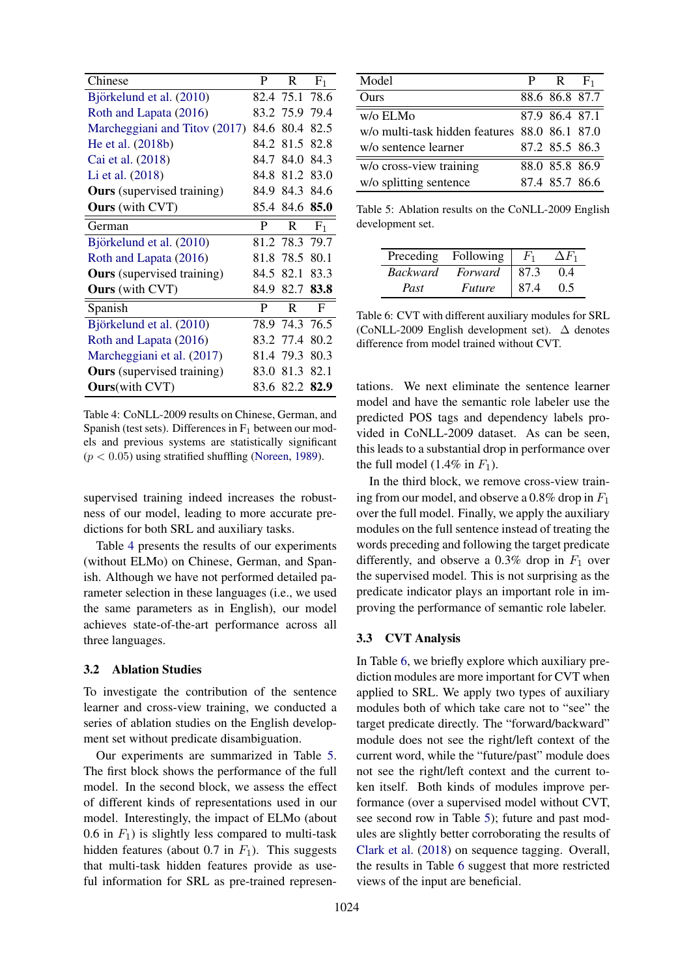<span id="page-6-0"></span>

| Chinese                           | P    | R.                    | F <sub>1</sub> |
|-----------------------------------|------|-----------------------|----------------|
| Björkelund et al. (2010)          |      | 82.4 75.1 78.6        |                |
| Roth and Lapata (2016)            |      | 83.2 75.9 79.4        |                |
| Marcheggiani and Titov (2017)     |      | 84.6 80.4             | 82.5           |
| He et al. (2018b)                 |      | 84.2 81.5 82.8        |                |
| Cai et al. (2018)                 |      | 84.7 84.0 84.3        |                |
| Li et al. (2018)                  | 84.8 |                       | 81.2 83.0      |
| <b>Ours</b> (supervised training) |      | 84.9 84.3 84.6        |                |
| <b>Ours</b> (with CVT)            |      | 85.4 84.6 <b>85.0</b> |                |
| German                            | P    | R                     | $F_1$          |
| Björkelund et al. (2010)          |      | 81.2 78.3 79.7        |                |
| Roth and Lapata (2016)            |      | 81.8 78.5             | 80.1           |
| <b>Ours</b> (supervised training) |      | 84.5 82.1             | 83.3           |
| <b>Ours</b> (with CVT)            |      | 84.9 82.7 83.8        |                |
| Spanish                           | P    | $\mathbb{R}$          | F              |
| Björkelund et al. (2010)          |      | 78.9 74.3 76.5        |                |
| Roth and Lapata (2016)            |      | 83.2 77.4             | 80.2           |
| Marcheggiani et al. (2017)        |      | 81.4 79.3             | 80.3           |
| <b>Ours</b> (supervised training) | 83.0 | 81.3                  | 82.1           |
| <b>Ours</b> (with CVT)            |      | 83.6 82.2 82.9        |                |

Table 4: CoNLL-2009 results on Chinese, German, and Spanish (test sets). Differences in  $F_1$  between our models and previous systems are statistically significant  $(p < 0.05)$  using stratified shuffling [\(Noreen,](#page-9-9) [1989\)](#page-9-9).

supervised training indeed increases the robustness of our model, leading to more accurate predictions for both SRL and auxiliary tasks.

Table [4](#page-6-0) presents the results of our experiments (without ELMo) on Chinese, German, and Spanish. Although we have not performed detailed parameter selection in these languages (i.e., we used the same parameters as in English), our model achieves state-of-the-art performance across all three languages.

## 3.2 Ablation Studies

To investigate the contribution of the sentence learner and cross-view training, we conducted a series of ablation studies on the English development set without predicate disambiguation.

Our experiments are summarized in Table [5.](#page-6-1) The first block shows the performance of the full model. In the second block, we assess the effect of different kinds of representations used in our model. Interestingly, the impact of ELMo (about 0.6 in  $F_1$ ) is slightly less compared to multi-task hidden features (about 0.7 in  $F_1$ ). This suggests that multi-task hidden features provide as useful information for SRL as pre-trained represen-

<span id="page-6-1"></span>

| Model                                         | $P$ R $F_1$    |  |
|-----------------------------------------------|----------------|--|
| Ours                                          | 88.6 86.8 87.7 |  |
| w/o ELMo                                      | 87.9 86.4 87.1 |  |
| w/o multi-task hidden features 88.0 86.1 87.0 |                |  |
| w/o sentence learner                          | 87.2 85.5 86.3 |  |
| w/o cross-view training                       | 88.0 85.8 86.9 |  |
| w/o splitting sentence                        | 87.4 85.7 86.6 |  |

Table 5: Ablation results on the CoNLL-2009 English development set.

<span id="page-6-2"></span>

| Preceding       | Following     |      |       |
|-----------------|---------------|------|-------|
| <b>Backward</b> | Forward       | 87.3 | (1.4) |
| Past            | <i>Future</i> | 87.4 | 0.5   |

Table 6: CVT with different auxiliary modules for SRL (CoNLL-2009 English development set). ∆ denotes difference from model trained without CVT.

tations. We next eliminate the sentence learner model and have the semantic role labeler use the predicted POS tags and dependency labels provided in CoNLL-2009 dataset. As can be seen, this leads to a substantial drop in performance over the full model (1.4% in  $F_1$ ).

In the third block, we remove cross-view training from our model, and observe a 0.8% drop in  $F_1$ over the full model. Finally, we apply the auxiliary modules on the full sentence instead of treating the words preceding and following the target predicate differently, and observe a 0.3% drop in  $F_1$  over the supervised model. This is not surprising as the predicate indicator plays an important role in improving the performance of semantic role labeler.

#### 3.3 CVT Analysis

In Table [6,](#page-6-2) we briefly explore which auxiliary prediction modules are more important for CVT when applied to SRL. We apply two types of auxiliary modules both of which take care not to "see" the target predicate directly. The "forward/backward" module does not see the right/left context of the current word, while the "future/past" module does not see the right/left context and the current token itself. Both kinds of modules improve performance (over a supervised model without CVT, see second row in Table [5\)](#page-6-1); future and past modules are slightly better corroborating the results of [Clark et al.](#page-8-4) [\(2018\)](#page-8-4) on sequence tagging. Overall, the results in Table [6](#page-6-2) suggest that more restricted views of the input are beneficial.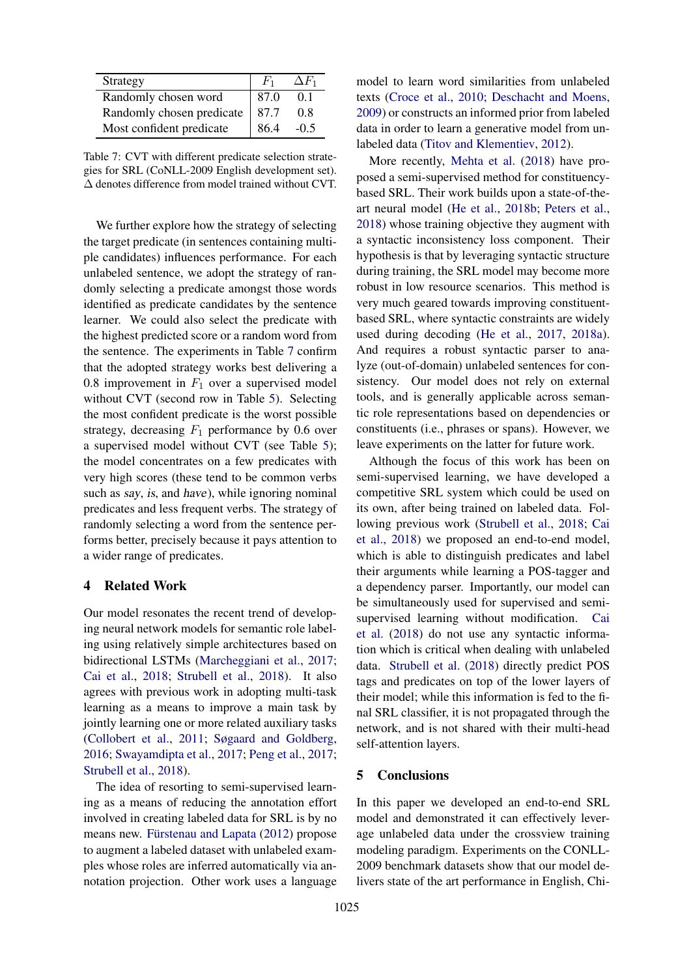<span id="page-7-0"></span>

| Strategy                  | $F_1$ | $\Delta F_1$ |
|---------------------------|-------|--------------|
| Randomly chosen word      | 87.0  | 01           |
| Randomly chosen predicate | 87.7  | 08           |
| Most confident predicate  | 864   | $-0.5$       |

Table 7: CVT with different predicate selection strategies for SRL (CoNLL-2009 English development set). ∆ denotes difference from model trained without CVT.

We further explore how the strategy of selecting the target predicate (in sentences containing multiple candidates) influences performance. For each unlabeled sentence, we adopt the strategy of randomly selecting a predicate amongst those words identified as predicate candidates by the sentence learner. We could also select the predicate with the highest predicted score or a random word from the sentence. The experiments in Table [7](#page-7-0) confirm that the adopted strategy works best delivering a 0.8 improvement in  $F_1$  over a supervised model without CVT (second row in Table [5\)](#page-6-1). Selecting the most confident predicate is the worst possible strategy, decreasing  $F_1$  performance by 0.6 over a supervised model without CVT (see Table [5\)](#page-6-1); the model concentrates on a few predicates with very high scores (these tend to be common verbs such as say, is, and have), while ignoring nominal predicates and less frequent verbs. The strategy of randomly selecting a word from the sentence performs better, precisely because it pays attention to a wider range of predicates.

#### 4 Related Work

Our model resonates the recent trend of developing neural network models for semantic role labeling using relatively simple architectures based on bidirectional LSTMs [\(Marcheggiani et al.,](#page-9-2) [2017;](#page-9-2) [Cai et al.,](#page-8-3) [2018;](#page-8-3) [Strubell et al.,](#page-9-13) [2018\)](#page-9-13). It also agrees with previous work in adopting multi-task learning as a means to improve a main task by jointly learning one or more related auxiliary tasks [\(Collobert et al.,](#page-8-12) [2011;](#page-8-12) [Søgaard and Goldberg,](#page-9-14) [2016;](#page-9-14) [Swayamdipta et al.,](#page-9-15) [2017;](#page-9-15) [Peng et al.,](#page-9-16) [2017;](#page-9-16) [Strubell et al.,](#page-9-13) [2018\)](#page-9-13).

The idea of resorting to semi-supervised learning as a means of reducing the annotation effort involved in creating labeled data for SRL is by no means new. Fürstenau and Lapata [\(2012\)](#page-8-13) propose to augment a labeled dataset with unlabeled examples whose roles are inferred automatically via annotation projection. Other work uses a language

model to learn word similarities from unlabeled texts [\(Croce et al.,](#page-8-14) [2010;](#page-8-14) [Deschacht and Moens,](#page-8-15) [2009\)](#page-8-15) or constructs an informed prior from labeled data in order to learn a generative model from unlabeled data [\(Titov and Klementiev,](#page-9-17) [2012\)](#page-9-17).

More recently, [Mehta et al.](#page-9-18) [\(2018\)](#page-9-18) have proposed a semi-supervised method for constituencybased SRL. Their work builds upon a state-of-theart neural model [\(He et al.,](#page-8-2) [2018b;](#page-8-2) [Peters et al.,](#page-9-3) [2018\)](#page-9-3) whose training objective they augment with a syntactic inconsistency loss component. Their hypothesis is that by leveraging syntactic structure during training, the SRL model may become more robust in low resource scenarios. This method is very much geared towards improving constituentbased SRL, where syntactic constraints are widely used during decoding [\(He et al.,](#page-8-16) [2017,](#page-8-16) [2018a\)](#page-8-17). And requires a robust syntactic parser to analyze (out-of-domain) unlabeled sentences for consistency. Our model does not rely on external tools, and is generally applicable across semantic role representations based on dependencies or constituents (i.e., phrases or spans). However, we leave experiments on the latter for future work.

Although the focus of this work has been on semi-supervised learning, we have developed a competitive SRL system which could be used on its own, after being trained on labeled data. Following previous work [\(Strubell et al.,](#page-9-13) [2018;](#page-9-13) [Cai](#page-8-3) [et al.,](#page-8-3) [2018\)](#page-8-3) we proposed an end-to-end model, which is able to distinguish predicates and label their arguments while learning a POS-tagger and a dependency parser. Importantly, our model can be simultaneously used for supervised and semisupervised learning without modification. [Cai](#page-8-3) [et al.](#page-8-3) [\(2018\)](#page-8-3) do not use any syntactic information which is critical when dealing with unlabeled data. [Strubell et al.](#page-9-13) [\(2018\)](#page-9-13) directly predict POS tags and predicates on top of the lower layers of their model; while this information is fed to the final SRL classifier, it is not propagated through the network, and is not shared with their multi-head self-attention layers.

## 5 Conclusions

In this paper we developed an end-to-end SRL model and demonstrated it can effectively leverage unlabeled data under the crossview training modeling paradigm. Experiments on the CONLL-2009 benchmark datasets show that our model delivers state of the art performance in English, Chi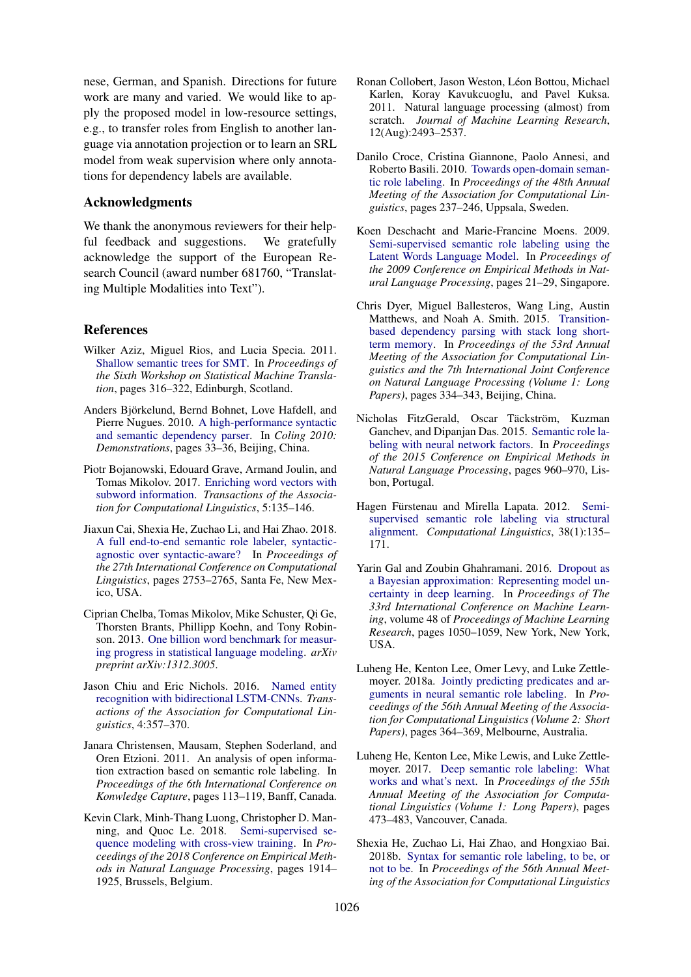nese, German, and Spanish. Directions for future work are many and varied. We would like to apply the proposed model in low-resource settings, e.g., to transfer roles from English to another language via annotation projection or to learn an SRL model from weak supervision where only annotations for dependency labels are available.

## Acknowledgments

We thank the anonymous reviewers for their helpful feedback and suggestions. We gratefully acknowledge the support of the European Research Council (award number 681760, "Translating Multiple Modalities into Text").

## References

- <span id="page-8-0"></span>Wilker Aziz, Miguel Rios, and Lucia Specia. 2011. [Shallow semantic trees for SMT.](https://www.aclweb.org/anthology/W11-2136) In *Proceedings of the Sixth Workshop on Statistical Machine Translation*, pages 316–322, Edinburgh, Scotland.
- <span id="page-8-5"></span>Anders Bjorkelund, Bernd Bohnet, Love Hafdell, and ¨ Pierre Nugues. 2010. [A high-performance syntactic](https://www.aclweb.org/anthology/C10-3009) [and semantic dependency parser.](https://www.aclweb.org/anthology/C10-3009) In *Coling 2010: Demonstrations*, pages 33–36, Beijing, China.
- <span id="page-8-10"></span>Piotr Bojanowski, Edouard Grave, Armand Joulin, and Tomas Mikolov. 2017. [Enriching word vectors with](https://www.aclweb.org/anthology/Q17-1010) [subword information.](https://www.aclweb.org/anthology/Q17-1010) *Transactions of the Association for Computational Linguistics*, 5:135–146.
- <span id="page-8-3"></span>Jiaxun Cai, Shexia He, Zuchao Li, and Hai Zhao. 2018. [A full end-to-end semantic role labeler, syntactic](http://aclweb.org/anthology/C18-1233)[agnostic over syntactic-aware?](http://aclweb.org/anthology/C18-1233) In *Proceedings of the 27th International Conference on Computational Linguistics*, pages 2753–2765, Santa Fe, New Mexico, USA.
- <span id="page-8-6"></span>Ciprian Chelba, Tomas Mikolov, Mike Schuster, Qi Ge, Thorsten Brants, Phillipp Koehn, and Tony Robinson. 2013. [One billion word benchmark for measur](https://arxiv.org/abs/1312.3005)[ing progress in statistical language modeling.](https://arxiv.org/abs/1312.3005) *arXiv preprint arXiv:1312.3005*.
- <span id="page-8-9"></span>Jason Chiu and Eric Nichols. 2016. [Named entity](http://aclweb.org/anthology/Q16-1026) [recognition with bidirectional LSTM-CNNs.](http://aclweb.org/anthology/Q16-1026) *Transactions of the Association for Computational Linguistics*, 4:357–370.
- <span id="page-8-1"></span>Janara Christensen, Mausam, Stephen Soderland, and Oren Etzioni. 2011. An analysis of open information extraction based on semantic role labeling. In *Proceedings of the 6th International Conference on Konwledge Capture*, pages 113–119, Banff, Canada.
- <span id="page-8-4"></span>Kevin Clark, Minh-Thang Luong, Christopher D. Manning, and Quoc Le. 2018. [Semi-supervised se](http://aclweb.org/anthology/D18-1217)[quence modeling with cross-view training.](http://aclweb.org/anthology/D18-1217) In *Proceedings of the 2018 Conference on Empirical Methods in Natural Language Processing*, pages 1914– 1925, Brussels, Belgium.
- <span id="page-8-12"></span>Ronan Collobert, Jason Weston, Léon Bottou, Michael Karlen, Koray Kavukcuoglu, and Pavel Kuksa. 2011. Natural language processing (almost) from scratch. *Journal of Machine Learning Research*, 12(Aug):2493–2537.
- <span id="page-8-14"></span>Danilo Croce, Cristina Giannone, Paolo Annesi, and Roberto Basili. 2010. [Towards open-domain seman](http://www.aclweb.org/anthology/P10-1025)[tic role labeling.](http://www.aclweb.org/anthology/P10-1025) In *Proceedings of the 48th Annual Meeting of the Association for Computational Linguistics*, pages 237–246, Uppsala, Sweden.
- <span id="page-8-15"></span>Koen Deschacht and Marie-Francine Moens. 2009. [Semi-supervised semantic role labeling using the](http://www.aclweb.org/anthology/D/D09/D09-1003) [Latent Words Language Model.](http://www.aclweb.org/anthology/D/D09/D09-1003) In *Proceedings of the 2009 Conference on Empirical Methods in Natural Language Processing*, pages 21–29, Singapore.
- <span id="page-8-8"></span>Chris Dyer, Miguel Ballesteros, Wang Ling, Austin Matthews, and Noah A. Smith. 2015. [Transition](https://doi.org/10.3115/v1/P15-1033)[based dependency parsing with stack long short](https://doi.org/10.3115/v1/P15-1033)[term memory.](https://doi.org/10.3115/v1/P15-1033) In *Proceedings of the 53rd Annual Meeting of the Association for Computational Linguistics and the 7th International Joint Conference on Natural Language Processing (Volume 1: Long Papers)*, pages 334–343, Beijing, China.
- <span id="page-8-7"></span>Nicholas FitzGerald, Oscar Täckström, Kuzman Ganchev, and Dipanjan Das. 2015. [Semantic role la](https://www.aclweb.org/anthology/D15-1112)[beling with neural network factors.](https://www.aclweb.org/anthology/D15-1112) In *Proceedings of the 2015 Conference on Empirical Methods in Natural Language Processing*, pages 960–970, Lisbon, Portugal.
- <span id="page-8-13"></span>Hagen Fürstenau and Mirella Lapata. 2012. [Semi](https://www.aclweb.org/anthology/J12-1005)[supervised semantic role labeling via structural](https://www.aclweb.org/anthology/J12-1005) [alignment.](https://www.aclweb.org/anthology/J12-1005) *Computational Linguistics*, 38(1):135– 171.
- <span id="page-8-11"></span>Yarin Gal and Zoubin Ghahramani. 2016. [Dropout as](http://proceedings.mlr.press/v48/gal16.pdf) [a Bayesian approximation: Representing model un](http://proceedings.mlr.press/v48/gal16.pdf)[certainty in deep learning.](http://proceedings.mlr.press/v48/gal16.pdf) In *Proceedings of The 33rd International Conference on Machine Learning*, volume 48 of *Proceedings of Machine Learning Research*, pages 1050–1059, New York, New York, USA.
- <span id="page-8-17"></span>Luheng He, Kenton Lee, Omer Levy, and Luke Zettle-moyer. 2018a. [Jointly predicting predicates and ar](http://aclweb.org/anthology/P18-2058)[guments in neural semantic role labeling.](http://aclweb.org/anthology/P18-2058) In *Proceedings of the 56th Annual Meeting of the Association for Computational Linguistics (Volume 2: Short Papers)*, pages 364–369, Melbourne, Australia.
- <span id="page-8-16"></span>Luheng He, Kenton Lee, Mike Lewis, and Luke Zettlemoyer. 2017. [Deep semantic role labeling: What](https://www.aclweb.org/anthology/P17-1044) [works and what's next.](https://www.aclweb.org/anthology/P17-1044) In *Proceedings of the 55th Annual Meeting of the Association for Computational Linguistics (Volume 1: Long Papers)*, pages 473–483, Vancouver, Canada.
- <span id="page-8-2"></span>Shexia He, Zuchao Li, Hai Zhao, and Hongxiao Bai. 2018b. [Syntax for semantic role labeling, to be, or](https://www.aclweb.org/anthology/P18-1192) [not to be.](https://www.aclweb.org/anthology/P18-1192) In *Proceedings of the 56th Annual Meeting of the Association for Computational Linguistics*